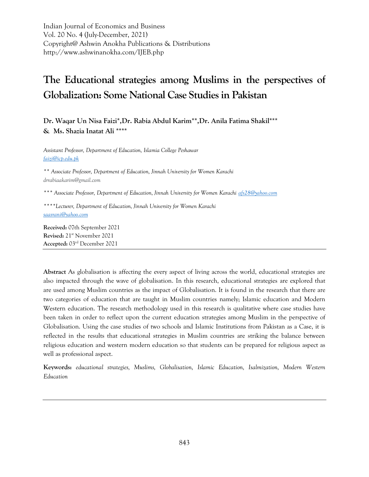Indian Journal of Economics and Business Vol. 20 No. 4 (July-December, 2021) Copyright@ Ashwin Anokha Publications & Distributions http://www.ashwinanokha.com/IJEB.php

# **The Educational strategies among Muslims in the perspectives of Globalization: Some National Case Studies in Pakistan**

**Dr. Waqar Un Nisa Faizi\*,Dr. Rabia Abdul Karim\*\*,Dr. Anila Fatima Shakil\*\*\* & Ms. Shazia Inatat Ali \*\*\*\***

*Assistant Professor, Department of Education, Islamia College Peshawar [faizi@icp.edu.pk](mailto:faizi@icp.edu.pk)*

*\*\* Associate Professor, Department of Education, Jinnah University for Women Karachi [drrabiaakarim@gmail.com](mailto:drrabiaakarim@gmail.com)*

*\*\*\* Associate Professor, Department of Education, Jinnah University for Women Karachi [afs28@yahoo.com](mailto:afs28@yahoo.com)*

*\*\*\*\*Lecturer, Department of Education, Jinnah University for Women Karachi [saasrani@yahoo.com](mailto:saasrani@yahoo.com)*

**Received:** 07th September 2021 **Revised:** 21st November 2021 **Accepted:** 03rd December 2021

**Abstract** As globalisation is affecting the every aspect of living across the world, educational strategies are also impacted through the wave of globalisation. In this research, educational strategies are explored that are used among Muslim countries as the impact of Globalisation. It is found in the research that there are two categories of education that are taught in Muslim countries namely; Islamic education and Modern Western education. The research methodology used in this research is qualitative where case studies have been taken in order to reflect upon the current education strategies among Muslim in the perspective of Globalisation. Using the case studies of two schools and Islamic Institutions from Pakistan as a Case, it is reflected in the results that educational strategies in Muslim countries are striking the balance between religious education and western modern education so that students can be prepared for religious aspect as well as professional aspect.

**Keywords:** *educational strategies, Muslims, Globalisation, Islamic Education, Isalmization, Modern Western Education*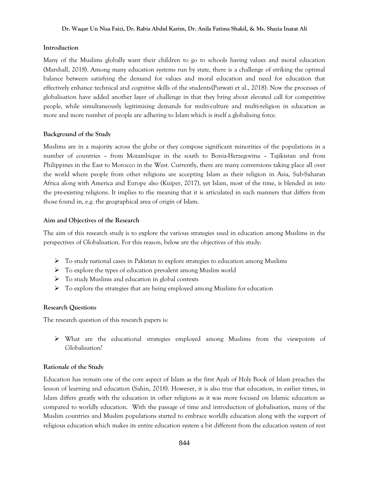#### **Dr. Waqar Un Nisa Faizi, Dr. Rabia Abdul Karim, Dr. Anila Fatima Shakil, & Ms. Shazia Inatat Ali**

### **Introduction**

Many of the Muslims globally want their children to go to schools having values and moral education (Marshall, 2018). Among many education systems run by state, there is a challenge of striking the optimal balance between satisfying the demand for values and moral education and need for education that effectively enhance technical and cognitive skills of the students(Purwati et al., 2018). Now the processes of globalisation have added another layer of challenge in that they bring about elevated call for competitive people, while simultaneously legitimising demands for multi-culture and multi-religion in education as more and more number of people are adhering to Islam which is itself a globalising force.

# **Background of the Study**

Muslims are in a majority across the globe or they compose significant minorities of the populations in a number of countries – from Mozambique in the south to Bonia-Herzegovina – Tajikistan and from Philippines in the East to Morocco in the West. Currently, there are many conversions taking place all over the world where people from other religions are accepting Islam as their religion in Asia, Sub-Saharan Africa along with America and Europe also (Kuiper, 2017), yet Islam, most of the time, is blended in into the pre-existing religions. It implies to the meaning that it is articulated in such manners that differs from those found in, e.g. the geographical area of origin of Islam.

# **Aim and Objectives of the Research**

The aim of this research study is to explore the various strategies used in education among Muslims in the perspectives of Globalisation. For this reason, below are the objectives of this study:

- $\triangleright$  To study national cases in Pakistan to explore strategies to education among Muslims
- $\triangleright$  To explore the types of education prevalent among Muslim world
- To study Muslims and education in global contexts
- $\triangleright$  To explore the strategies that are being employed among Muslims for education

# **Research Questions**

The research question of this research papers is:

 $\triangleright$  What are the educational strategies employed among Muslims from the viewpoints of Globalisation?

# **Rationale of the Study**

Education has remain one of the core aspect of Islam as the first Ayah of Holy Book of Islam preaches the lesson of learning and education (Sahin, 2018). However, it is also true that education, in earlier times, in Islam differs greatly with the education in other religions as it was more focused on Islamic education as compared to worldly education. With the passage of time and introduction of globalisation, many of the Muslim countries and Muslim populations started to embrace worldly education along with the support of religious education which makes its entire education system a bit different from the education system of rest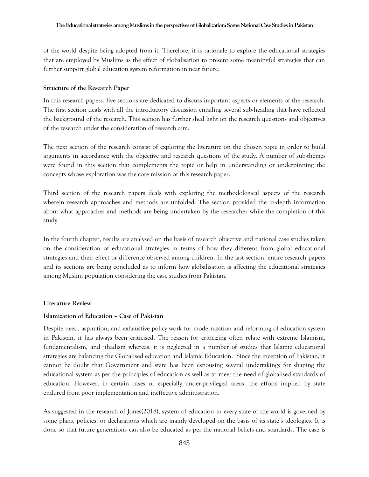of the world despite being adopted from it. Therefore, it is rationale to explore the educational strategies that are employed by Muslims as the effect of globalisation to present some meaningful strategies that can further support global education system reformation in near future.

# **Structure of the Research Paper**

In this research papers, five sections are dedicated to discuss important aspects or elements of the research. The first section deals with all the introductory discussion entailing several sub-heading that have reflected the background of the research. This section has further shed light on the research questions and objectives of the research under the consideration of research aim.

The next section of the research consist of exploring the literature on the chosen topic in order to build arguments in accordance with the objective and research questions of the study. A number of sub-themes were found in this section that complements the topic or help in understanding or underpinning the concepts whose exploration was the core mission of this research paper.

Third section of the research papers deals with exploring the methodological aspects of the research wherein research approaches and methods are unfolded. The section provided the in-depth information about what approaches and methods are being undertaken by the researcher while the completion of this study.

In the fourth chapter, results are analysed on the basis of research objective and national case studies taken on the consideration of educational strategies in terms of how they different from global educational strategies and their effect or difference observed among children. In the last section, entire research papers and its sections are being concluded as to inform how globalisation is affecting the educational strategies among Muslim population considering the case studies from Pakistan.

# **Literature Review**

# **Islamization of Education – Case of Pakistan**

Despite need, aspiration, and exhaustive policy work for modernization and reforming of education system in Pakistan, it has always been criticised. The reason for criticizing often relate with extreme Islamism, fundamentalism, and jihadism whereas, it is neglected in a number of studies that Islamic educational strategies are balancing the Globalised education and Islamic Education. Since the inception of Pakistan, it cannot be doubt that Government and state has been espousing several undertakings for shaping the educational system as per the principles of education as well as to meet the need of globalised standards of education. However, in certain cases or especially under-privileged areas, the efforts implied by state endured from poor implementation and ineffective administration.

As suggested in the research of Jones(2018), system of education in every state of the world is governed by some plans, policies, or declarations which are mainly developed on the basis of its state's ideologies. It is done so that future generations can also be educated as per the national beliefs and standards. The case is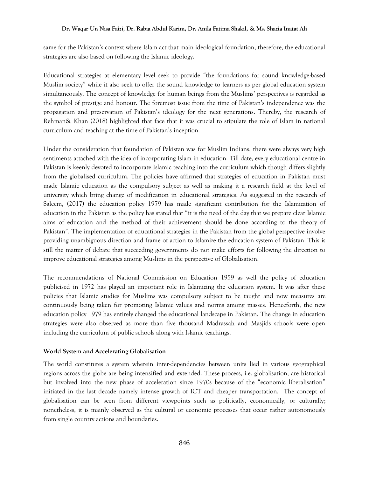#### **Dr. Waqar Un Nisa Faizi, Dr. Rabia Abdul Karim, Dr. Anila Fatima Shakil, & Ms. Shazia Inatat Ali**

same for the Pakistan's context where Islam act that main ideological foundation, therefore, the educational strategies are also based on following the Islamic ideology.

Educational strategies at elementary level seek to provide "the foundations for sound knowledge-based Muslim society" while it also seek to offer the sound knowledge to learners as per global education system simultaneously. The concept of knowledge for human beings from the Muslims' perspectives is regarded as the symbol of prestige and honour. The foremost issue from the time of Pakistan's independence was the propagation and preservation of Pakistan's ideology for the next generations. Thereby, the research of Rehman& Khan (2018) highlighted that face that it was crucial to stipulate the role of Islam in national curriculum and teaching at the time of Pakistan's inception.

Under the consideration that foundation of Pakistan was for Muslim Indians, there were always very high sentiments attached with the idea of incorporating Islam in education. Till date, every educational centre in Pakistan is keenly devoted to incorporate Islamic teaching into the curriculum which though differs slightly from the globalised curriculum. The policies have affirmed that strategies of education in Pakistan must made Islamic education as the compulsory subject as well as making it a research field at the level of university which bring change of modification in educational strategies. As suggested in the research of Saleem, (2017) the education policy 1979 has made significant contribution for the Islamization of education in the Pakistan as the policy has stated that "it is the need of the day that we prepare clear Islamic aims of education and the method of their achievement should be done according to the theory of Pakistan". The implementation of educational strategies in the Pakistan from the global perspective involve providing unambiguous direction and frame of action to Islamize the education system of Pakistan. This is still the matter of debate that succeeding governments do not make efforts for following the direction to improve educational strategies among Muslims in the perspective of Globalisation.

The recommendations of National Commission on Education 1959 as well the policy of education publicised in 1972 has played an important role in Islamizing the education system. It was after these policies that Islamic studies for Muslims was compulsory subject to be taught and now measures are continuously being taken for promoting Islamic values and norms among masses. Henceforth, the new education policy 1979 has entirely changed the educational landscape in Pakistan. The change in education strategies were also observed as more than five thousand Madrassah and Masjids schools were open including the curriculum of public schools along with Islamic teachings.

# **World System and Accelerating Globalisation**

The world constitutes a system wherein inter-dependencies between units lied in various geographical regions across the globe are being intensified and extended. These process, i.e. globalisation, are historical but involved into the new phase of acceleration since 1970s because of the "economic liberalisation" initiated in the last decade namely intense growth of ICT and cheaper transportation. The concept of globalisation can be seen from different viewpoints such as politically, economically, or culturally; nonetheless, it is mainly observed as the cultural or economic processes that occur rather autonomously from single country actions and boundaries.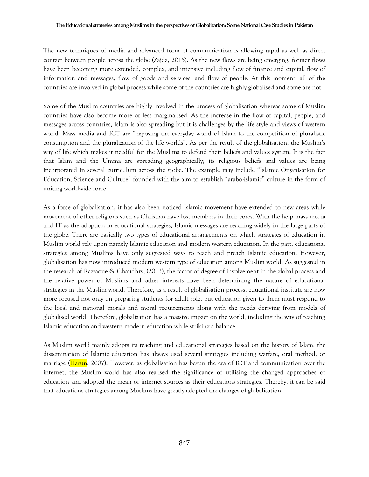The new techniques of media and advanced form of communication is allowing rapid as well as direct contact between people across the globe (Zajda, 2015). As the new flows are being emerging, former flows have been becoming more extended, complex, and intensive including flow of finance and capital, flow of information and messages, flow of goods and services, and flow of people. At this moment, all of the countries are involved in global process while some of the countries are highly globalised and some are not.

Some of the Muslim countries are highly involved in the process of globalisation whereas some of Muslim countries have also become more or less marginalised. As the increase in the flow of capital, people, and messages across countries, Islam is also spreading but it is challenges by the life style and views of western world. Mass media and ICT are "exposing the everyday world of Islam to the competition of pluralistic consumption and the pluralization of the life worlds". As per the result of the globalisation, the Muslim's way of life which makes it needful for the Muslims to defend their beliefs and values system. It is the fact that Islam and the Umma are spreading geographically; its religious beliefs and values are being incorporated in several curriculum across the globe. The example may include "Islamic Organisation for Education, Science and Culture" founded with the aim to establish "arabo-islamic" culture in the form of uniting worldwide force.

As a force of globalisation, it has also been noticed Islamic movement have extended to new areas while movement of other religions such as Christian have lost members in their cores. With the help mass media and IT as the adoption in educational strategies, Islamic messages are reaching widely in the large parts of the globe. There are basically two types of educational arrangements on which strategies of education in Muslim world rely upon namely Islamic education and modern western education. In the part, educational strategies among Muslims have only suggested ways to teach and preach Islamic education. However, globalisation has now introduced modern western type of education among Muslim world. As suggested in the research of Razzaque & Chaudhry, (2013), the factor of degree of involvement in the global process and the relative power of Muslims and other interests have been determining the nature of educational strategies in the Muslim world. Therefore, as a result of globalisation process, educational institute are now more focused not only on preparing students for adult role, but education given to them must respond to the local and national morals and moral requirements along with the needs deriving from models of globalised world. Therefore, globalization has a massive impact on the world, including the way of teaching Islamic education and western modern education while striking a balance.

As Muslim world mainly adopts its teaching and educational strategies based on the history of Islam, the dissemination of Islamic education has always used several strategies including warfare, oral method, or marriage (Harun, 2007). However, as globalisation has begun the era of ICT and communication over the internet, the Muslim world has also realised the significance of utilising the changed approaches of education and adopted the mean of internet sources as their educations strategies. Thereby, it can be said that educations strategies among Muslims have greatly adopted the changes of globalisation.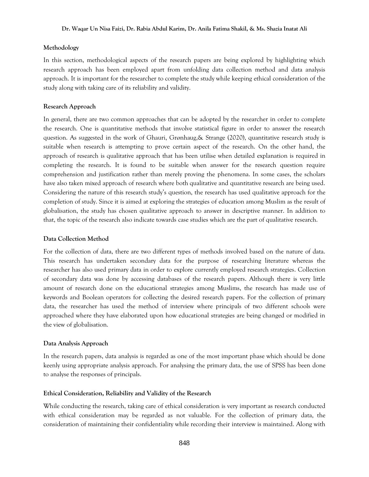#### **Methodology**

In this section, methodological aspects of the research papers are being explored by highlighting which research approach has been employed apart from unfolding data collection method and data analysis approach. It is important for the researcher to complete the study while keeping ethical consideration of the study along with taking care of its reliability and validity.

#### **Research Approach**

In general, there are two common approaches that can be adopted by the researcher in order to complete the research. One is quantitative methods that involve statistical figure in order to answer the research question. As suggested in the work of Ghauri, Grønhaug,& Strange (2020), quantitative research study is suitable when research is attempting to prove certain aspect of the research. On the other hand, the approach of research is qualitative approach that has been utilise when detailed explanation is required in completing the research. It is found to be suitable when answer for the research question require comprehension and justification rather than merely proving the phenomena. In some cases, the scholars have also taken mixed approach of research where both qualitative and quantitative research are being used. Considering the nature of this research study's question, the research has used qualitative approach for the completion of study. Since it is aimed at exploring the strategies of education among Muslim as the result of globalisation, the study has chosen qualitative approach to answer in descriptive manner. In addition to that, the topic of the research also indicate towards case studies which are the part of qualitative research.

#### **Data Collection Method**

For the collection of data, there are two different types of methods involved based on the nature of data. This research has undertaken secondary data for the purpose of researching literature whereas the researcher has also used primary data in order to explore currently employed research strategies. Collection of secondary data was done by accessing databases of the research papers. Although there is very little amount of research done on the educational strategies among Muslims, the research has made use of keywords and Boolean operators for collecting the desired research papers. For the collection of primary data, the researcher has used the method of interview where principals of two different schools were approached where they have elaborated upon how educational strategies are being changed or modified in the view of globalisation.

#### **Data Analysis Approach**

In the research papers, data analysis is regarded as one of the most important phase which should be done keenly using appropriate analysis approach. For analysing the primary data, the use of SPSS has been done to analyse the responses of principals.

#### **Ethical Consideration, Reliability and Validity of the Research**

While conducting the research, taking care of ethical consideration is very important as research conducted with ethical consideration may be regarded as not valuable. For the collection of primary data, the consideration of maintaining their confidentiality while recording their interview is maintained. Along with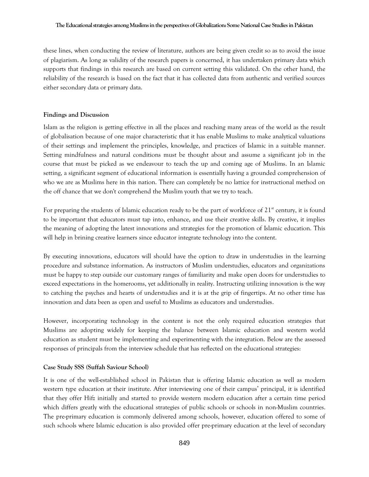#### **The Educational strategies among Muslims inthe perspectives of Globalization: Some National Case Studies in Pakistan**

these lines, when conducting the review of literature, authors are being given credit so as to avoid the issue of plagiarism. As long as validity of the research papers is concerned, it has undertaken primary data which supports that findings in this research are based on current setting this validated. On the other hand, the reliability of the research is based on the fact that it has collected data from authentic and verified sources either secondary data or primary data.

#### **Findings and Discussion**

Islam as the religion is getting effective in all the places and reaching many areas of the world as the result of globalisation because of one major characteristic that it has enable Muslims to make analytical valuations of their settings and implement the principles, knowledge, and practices of Islamic in a suitable manner. Setting mindfulness and natural conditions must be thought about and assume a significant job in the course that must be picked as we endeavour to teach the up and coming age of Muslims. In an Islamic setting, a significant segment of educational information is essentially having a grounded comprehension of who we are as Muslims here in this nation. There can completely be no lattice for instructional method on the off chance that we don't comprehend the Muslim youth that we try to teach.

For preparing the students of Islamic education ready to be the part of workforce of  $21<sup>st</sup>$  century, it is found to be important that educators must tap into, enhance, and use their creative skills. By creative, it implies the meaning of adopting the latest innovations and strategies for the promotion of Islamic education. This will help in brining creative learners since educator integrate technology into the content.

By executing innovations, educators will should have the option to draw in understudies in the learning procedure and substance information. As instructors of Muslim understudies, educators and organizations must be happy to step outside our customary ranges of familiarity and make open doors for understudies to exceed expectations in the homerooms, yet additionally in reality. Instructing utilizing innovation is the way to catching the psyches and hearts of understudies and it is at the grip of fingertips. At no other time has innovation and data been as open and useful to Muslims as educators and understudies.

However, incorporating technology in the content is not the only required education strategies that Muslims are adopting widely for keeping the balance between Islamic education and western world education as student must be implementing and experimenting with the integration. Below are the assessed responses of principals from the interview schedule that has reflected on the educational strategies:

#### **Case Study SSS (Suffah Saviour School)**

It is one of the well-established school in Pakistan that is offering Islamic education as well as modern western type education at their institute. After interviewing one of their campus' principal, it is identified that they offer Hifz initially and started to provide western modern education after a certain time period which differs greatly with the educational strategies of public schools or schools in non-Muslim countries. The pre-primary education is commonly delivered among schools, however, education offered to some of such schools where Islamic education is also provided offer pre-primary education at the level of secondary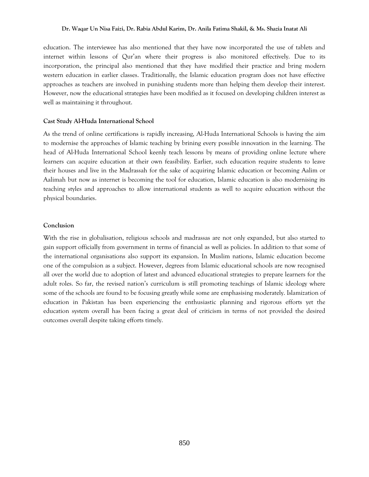#### **Dr. Waqar Un Nisa Faizi, Dr. Rabia Abdul Karim, Dr. Anila Fatima Shakil, & Ms. Shazia Inatat Ali**

education. The interviewee has also mentioned that they have now incorporated the use of tablets and internet within lessons of Qur'an where their progress is also monitored effectively. Due to its incorporation, the principal also mentioned that they have modified their practice and bring modern western education in earlier classes. Traditionally, the Islamic education program does not have effective approaches as teachers are involved in punishing students more than helping them develop their interest. However, now the educational strategies have been modified as it focused on developing children interest as well as maintaining it throughout.

#### **Cast Study Al-Huda International School**

As the trend of online certifications is rapidly increasing, Al-Huda International Schools is having the aim to modernise the approaches of Islamic teaching by brining every possible innovation in the learning. The head of Al-Huda International School keenly teach lessons by means of providing online lecture where learners can acquire education at their own feasibility. Earlier, such education require students to leave their houses and live in the Madrassah for the sake of acquiring Islamic education or becoming Aalim or Aalimah but now as internet is becoming the tool for education, Islamic education is also modernising its teaching styles and approaches to allow international students as well to acquire education without the physical boundaries.

#### **Conclusion**

With the rise in globalisation, religious schools and madrassas are not only expanded, but also started to gain support officially from government in terms of financial as well as policies. In addition to that some of the international organisations also support its expansion. In Muslim nations, Islamic education become one of the compulsion as a subject. However, degrees from Islamic educational schools are now recognised all over the world due to adoption of latest and advanced educational strategies to prepare learners for the adult roles. So far, the revised nation's curriculum is still promoting teachings of Islamic ideology where some of the schools are found to be focusing greatly while some are emphasising moderately. Islamization of education in Pakistan has been experiencing the enthusiastic planning and rigorous efforts yet the education system overall has been facing a great deal of criticism in terms of not provided the desired outcomes overall despite taking efforts timely.